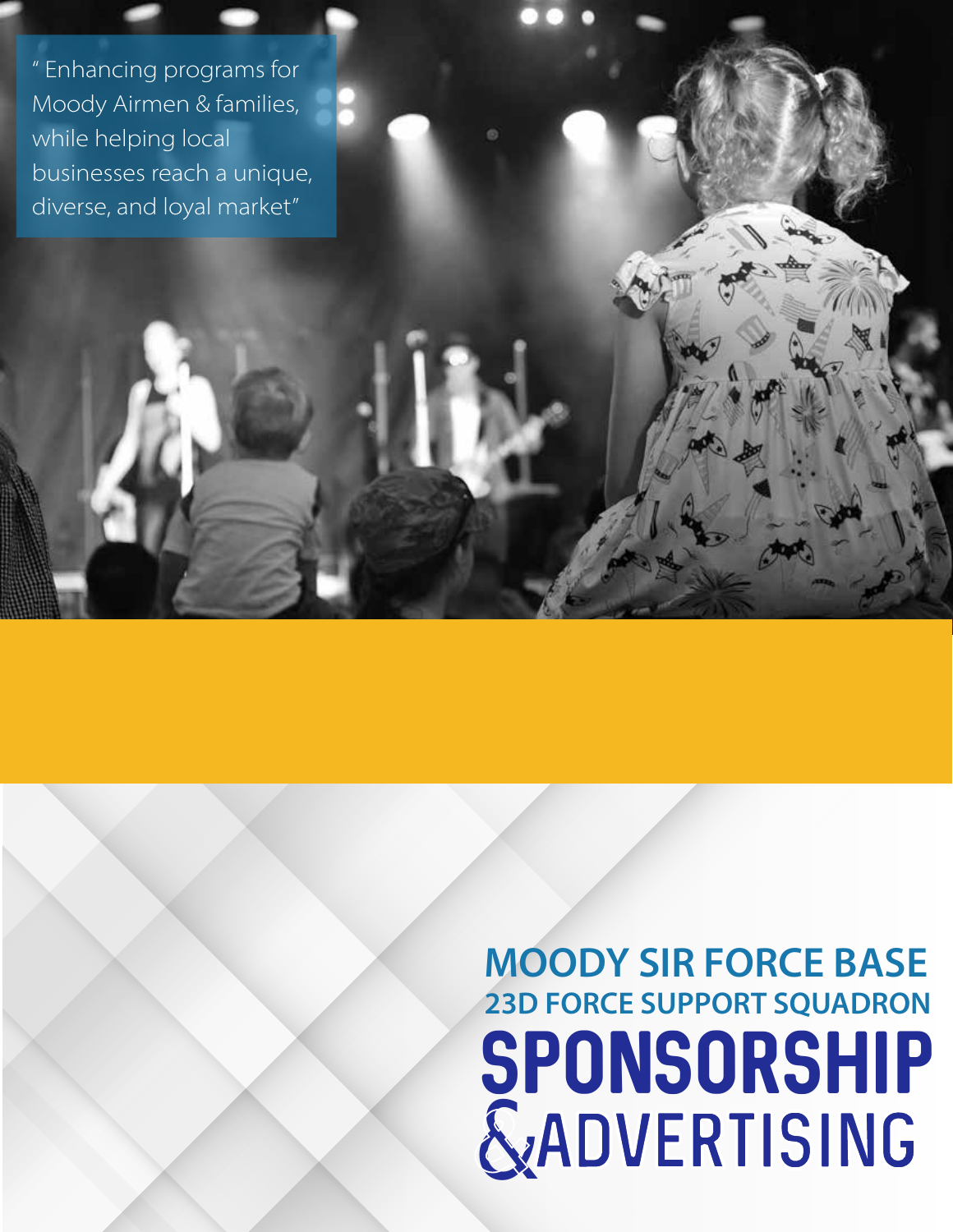" Enhancing programs for Moody Airmen & families, while helping local businesses reach a unique, diverse, and loyal market"

# SPONSORSHIP ADVERTISING & **MOODY SIR FORCE BASE 23D FORCE SUPPORT SQUADRON**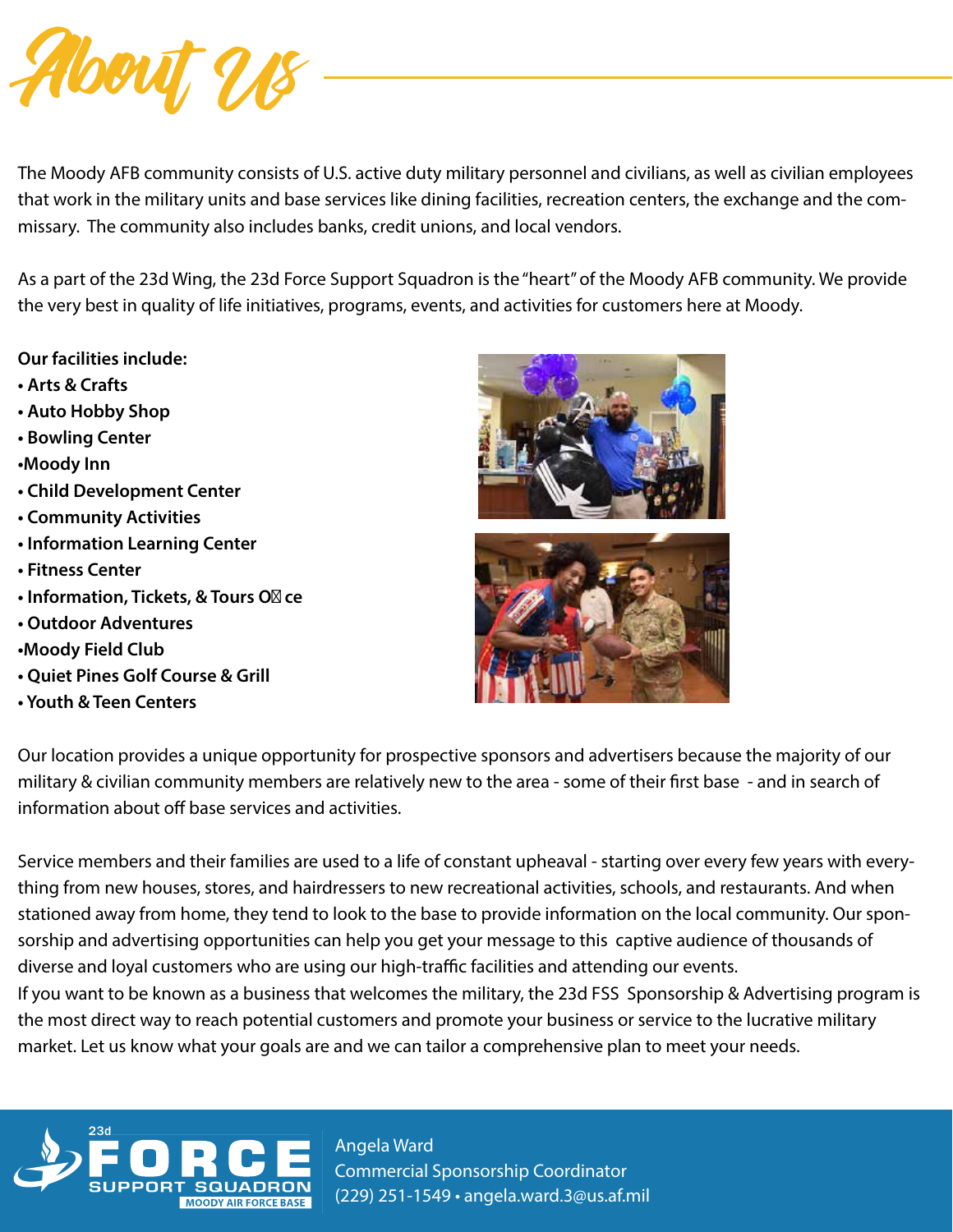

The Moody AFB community consists of U.S. active duty military personnel and civilians, as well as civilian employees that work in the military units and base services like dining facilities, recreation centers, the exchange and the commissary. The community also includes banks, credit unions, and local vendors.

As a part of the 23d Wing, the 23d Force Support Squadron is the "heart" of the Moody AFB community. We provide the very best in quality of life initiatives, programs, events, and activities for customers here at Moody.

- **Our facilities include:**
- **Arts & Crafts**
- **Auto Hobby Shop**
- **Bowling Center**
- **•Moody Inn**
- **Child Development Center**
- **Community Activities**
- **Information Learning Center**
- **Fitness Center**
- **Information, Tickets, & Tours O ce**
- **Outdoor Adventures**
- **•Moody Field Club**
- **Quiet Pines Golf Course & Grill**
- **Youth & Teen Centers**





Our location provides a unique opportunity for prospective sponsors and advertisers because the majority of our military & civilian community members are relatively new to the area - some of their first base - and in search of information about off base services and activities.

Service members and their families are used to a life of constant upheaval - starting over every few years with everything from new houses, stores, and hairdressers to new recreational activities, schools, and restaurants. And when stationed away from home, they tend to look to the base to provide information on the local community. Our sponsorship and advertising opportunities can help you get your message to this captive audience of thousands of diverse and loyal customers who are using our high-traffic facilities and attending our events. If you want to be known as a business that welcomes the military, the 23d FSS Sponsorship & Advertising program is the most direct way to reach potential customers and promote your business or service to the lucrative military



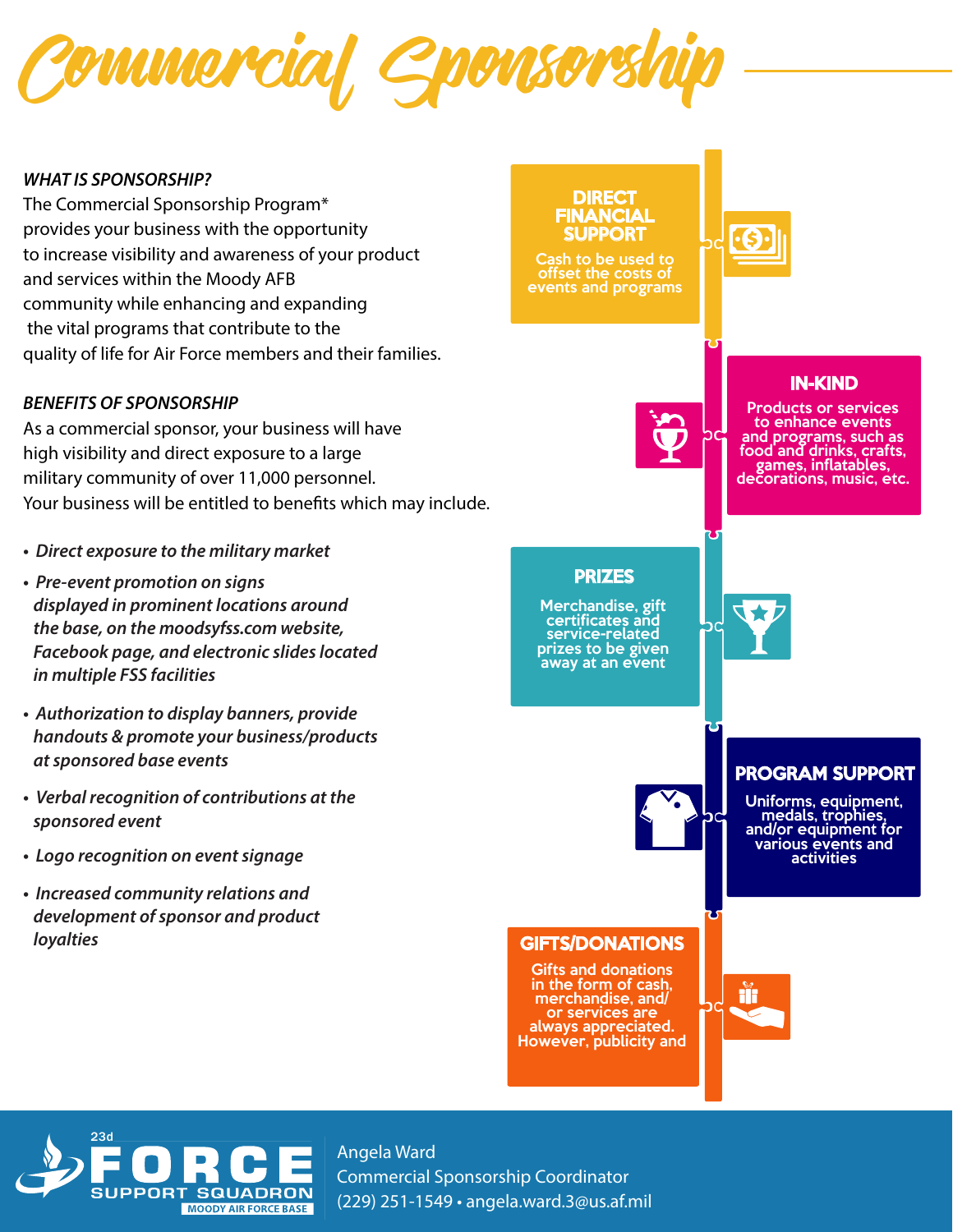

#### *WHAT IS SPONSORSHIP?*

The Commercial Sponsorship Program\* provides your business with the opportunity to increase visibility and awareness of your product and services within the Moody AFB community while enhancing and expanding the vital programs that contribute to the quality of life for Air Force members and their families.

#### *BENEFITS OF SPONSORSHIP*

As a commercial sponsor, your business will have high visibility and direct exposure to a large military community of over 11,000 personnel. Your business will be entitled to benefits which may include.

- *Direct exposure to the military market*
- *Pre-event promotion on signs displayed in prominent locations around the base, on the moodsyfss.com website, Facebook page, and electronic slides located in multiple FSS facilities*
- *Authorization to display banners, provide handouts & promote your business/products at sponsored base events*
- *Verbal recognition of contributions at the sponsored event*
- *Logo recognition on event signage*
- *Increased community relations and development of sponsor and product loyalties*



Cash to be used to offset the costs of events and programs



#### IN-KIND

Products or services to enhance events and programs, such as food and drinks, crafts, games, inflatables,<br>decorations, music, etc.

#### PRIZES

Merchandise, gift service-related prizes to be given away at an event

#### PROGRAM SUPPORT

Uniforms, equipment, medals, trophies, and/or equipment for various events and activities

#### GIFTS/DONATIONS

recognition for gifts and donations is limited. Gifts and donations in the form of cash, merchandise, and/ or services are always appreciated. However, publicity and



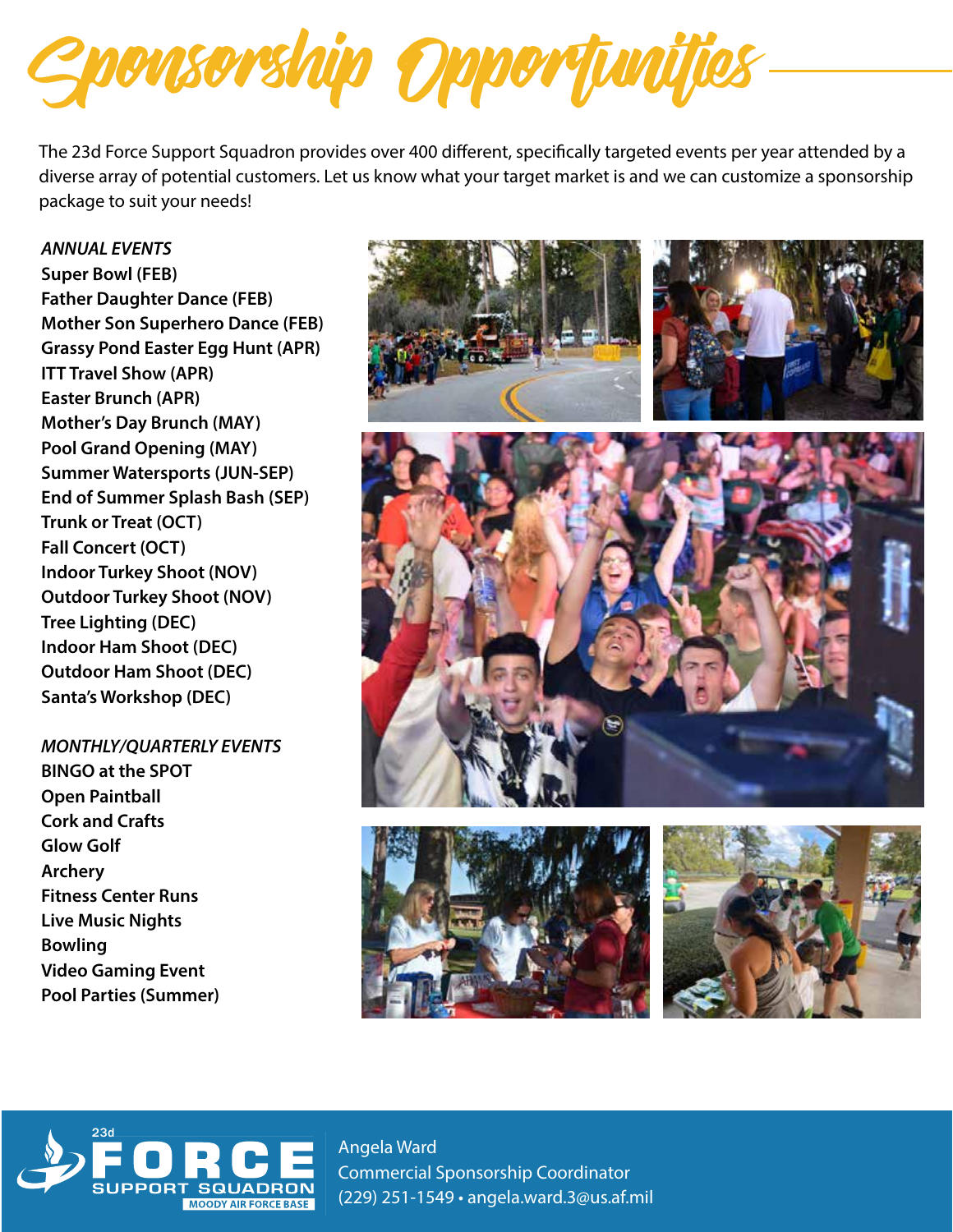Sponsorship Opportunities

The 23d Force Support Squadron provides over 400 different, specifically targeted events per year attended by a diverse array of potential customers. Let us know what your target market is and we can customize a sponsorship package to suit your needs!

*ANNUAL EVENTS* **Super Bowl (FEB) Father Daughter Dance (FEB) Mother Son Superhero Dance (FEB) Grassy Pond Easter Egg Hunt (APR) ITT Travel Show (APR) Easter Brunch (APR) Mother's Day Brunch (MAY) Pool Grand Opening (MAY) Summer Watersports (JUN-SEP) End of Summer Splash Bash (SEP) Trunk or Treat (OCT) Fall Concert (OCT) Indoor Turkey Shoot (NOV) Outdoor Turkey Shoot (NOV) Tree Lighting (DEC) Indoor Ham Shoot (DEC) Outdoor Ham Shoot (DEC) Santa's Workshop (DEC)**

*MONTHLY/QUARTERLY EVENTS* **BINGO at the SPOT Open Paintball Cork and Crafts Glow Golf Archery Fitness Center Runs Live Music Nights Bowling Video Gaming Event Pool Parties (Summer)**











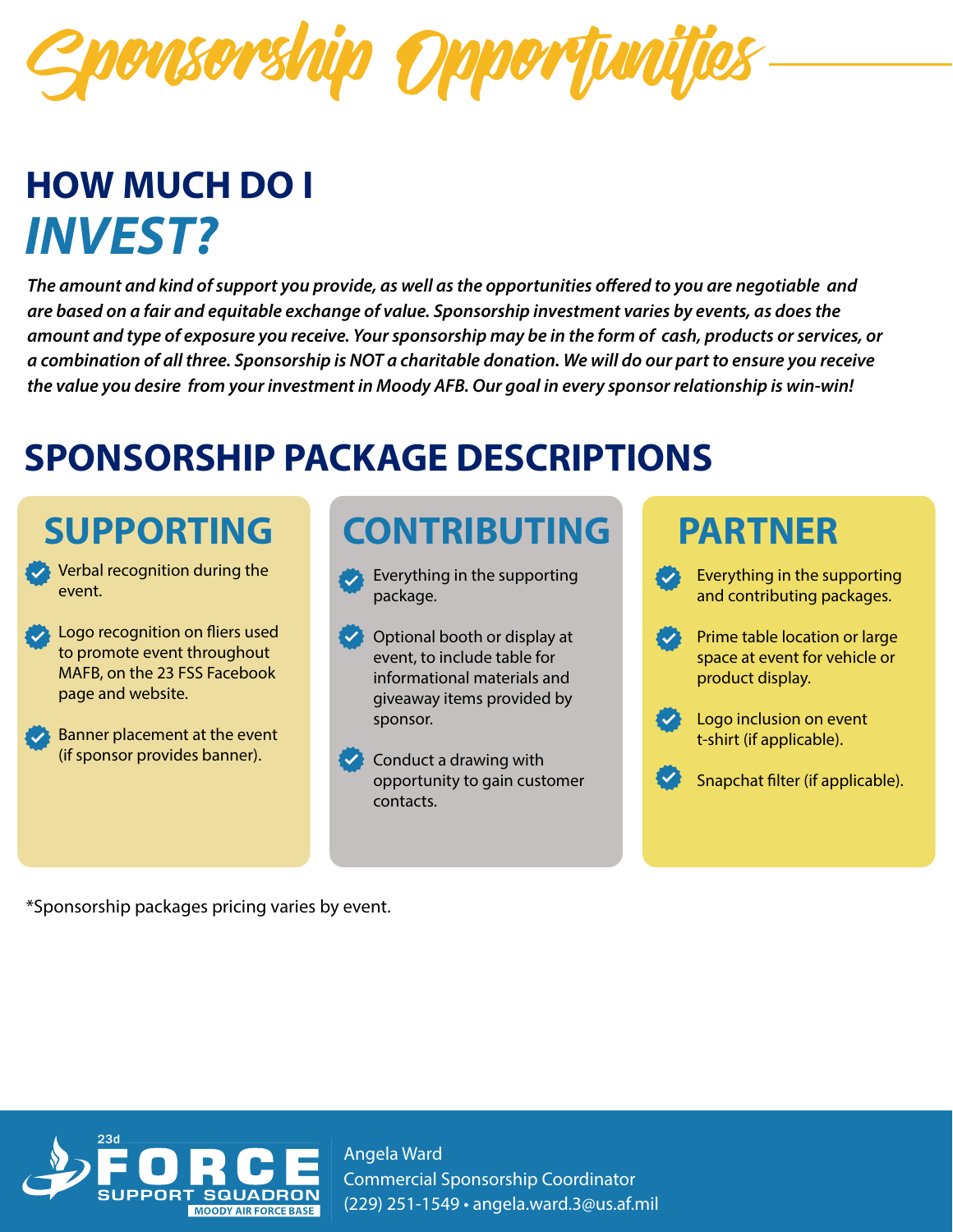onsorship Opportuni

## **HOW MUCH DO I**  *INVEST?*

The amount and kind of support you provide, as well as the opportunities offered to you are negotiable and *are based on a fair and equitable exchange of value. Sponsorship investment varies by events, as does the amount and type of exposure you receive. Your sponsorship may be in the form of cash, products or services, or a combination of all three. Sponsorship is NOT a charitable donation. We will do our part to ensure you receive the value you desire from your investment in Moody AFB. Our goal in every sponsor relationship is win-win!*

## **SPONSORSHIP PACKAGE DESCRIPTIONS**

## **SUPPORTING**

- Verbal recognition during the event.
- Logo recognition on fliers used to promote event throughout MAFB, on the 23 FSS Facebook page and website.
- Banner placement at the event (if sponsor provides banner).

## **CONTRIBUTING**

- Everything in the supporting package.
- Optional booth or display at event, to include table for informational materials and giveaway items provided by sponsor.
- **Conduct a drawing with** opportunity to gain customer contacts.

### **PARTNER**

- Everything in the supporting and contributing packages.
- Prime table location or large space at event for vehicle or product display.



Logo inclusion on event t-shirt (if applicable).

Snapchat filter (if applicable).

\*Sponsorship packages pricing varies by event.

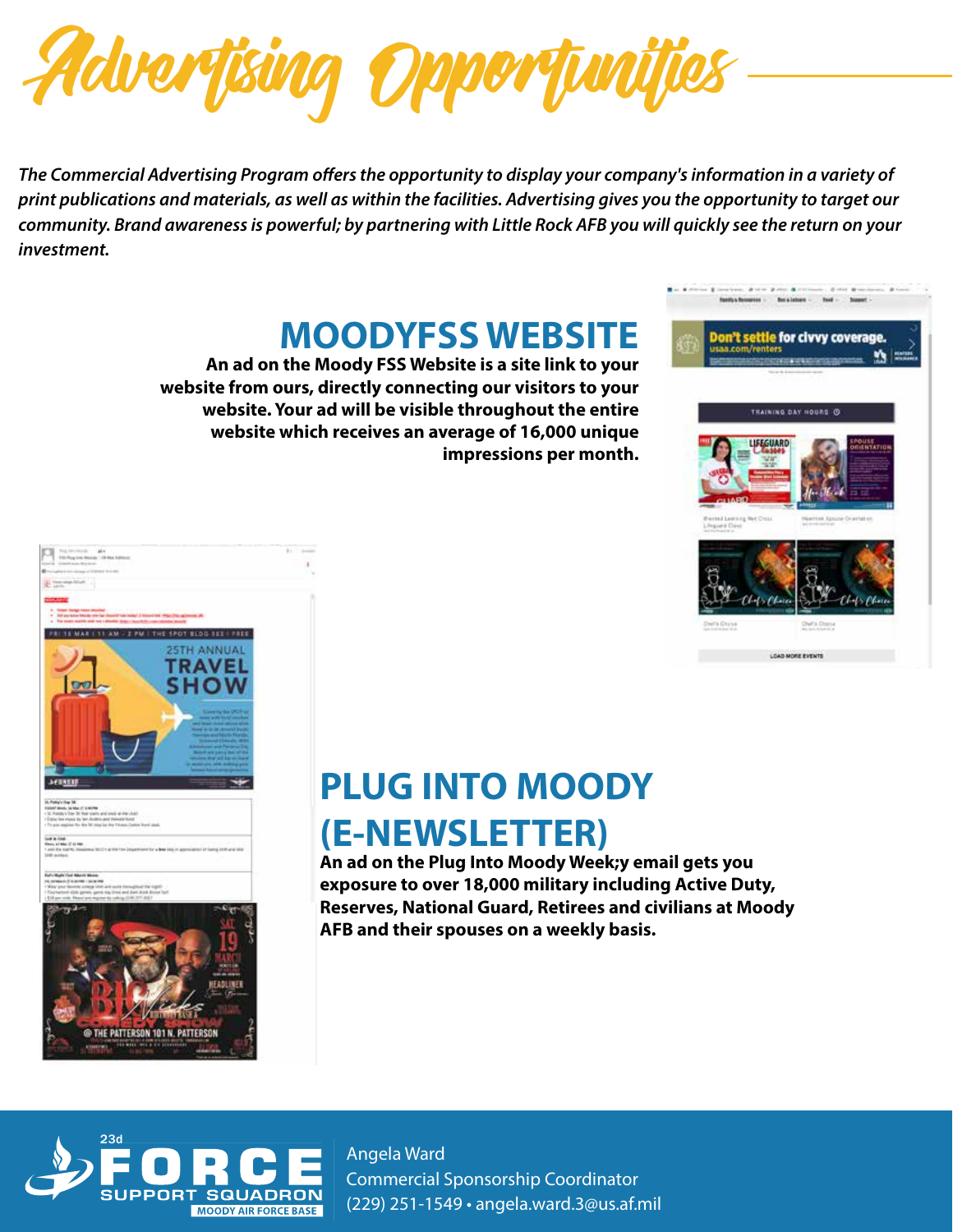

The Commercial Advertising Program offers the opportunity to display your company's information in a variety of *print publications and materials, as well as within the facilities. Advertising gives you the opportunity to target our community. Brand awareness is powerful; by partnering with Little Rock AFB you will quickly see the return on your investment.* 

### **MOODYFSS WEBSITE**

**An ad on the Moody FSS Website is a site link to your website from ours, directly connecting our visitors to your website. Your ad will be visible throughout the entire website which receives an average of 16,000 unique impressions per month.** 





## **PLUG INTO MOODY (E-NEWSLETTER)**

**An ad on the Plug Into Moody Week;y email gets you exposure to over 18,000 military including Active Duty, Reserves, National Guard, Retirees and civilians at Moody AFB and their spouses on a weekly basis.** 

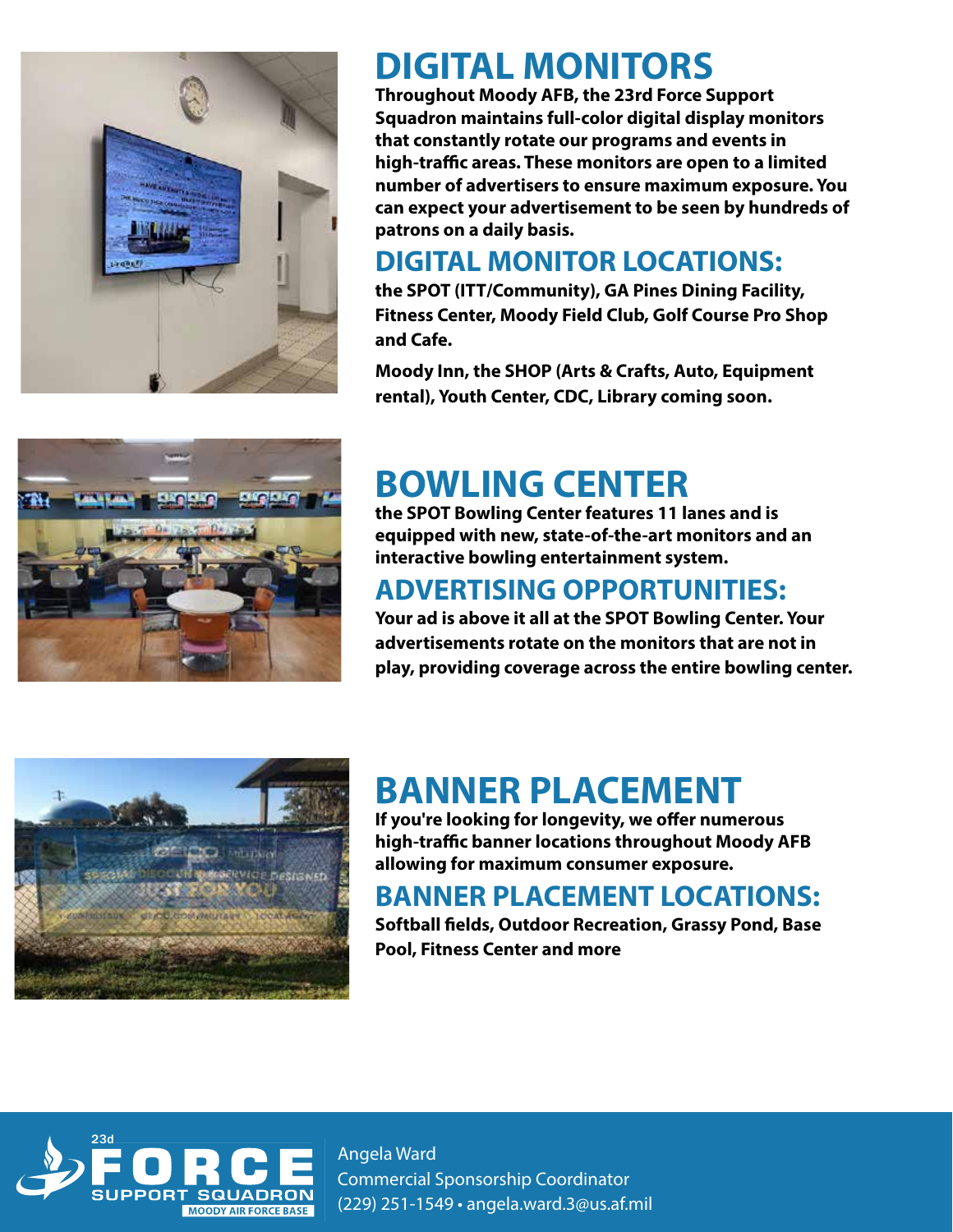

## **DIGITAL MONITORS**

**Throughout Moody AFB, the 23rd Force Support Squadron maintains full-color digital display monitors that constantly rotate our programs and events in**  high-traffic areas. These monitors are open to a limited **number of advertisers to ensure maximum exposure. You can expect your advertisement to be seen by hundreds of patrons on a daily basis.** 

### **DIGITAL MONITOR LOCATIONS:**

**the SPOT (ITT/Community), GA Pines Dining Facility, Fitness Center, Moody Field Club, Golf Course Pro Shop and Cafe.** 

**Moody Inn, the SHOP (Arts & Crafts, Auto, Equipment rental), Youth Center, CDC, Library coming soon.**



## **BOWLING CENTER**

**the SPOT Bowling Center features 11 lanes and is equipped with new, state-of-the-art monitors and an interactive bowling entertainment system.** 

### **ADVERTISING OPPORTUNITIES:**

**Your ad is above it all at the SPOT Bowling Center. Your advertisements rotate on the monitors that are not in play, providing coverage across the entire bowling center.** 



## **BANNER PLACEMENT**

**If you're looking for longevity, we offer numerous high-traffic banner locations throughout Moody AFB allowing for maximum consumer exposure.** 

### **BANNER PLACEMENT LOCATIONS:**

**Softball fields, Outdoor Recreation, Grassy Pond, Base Pool, Fitness Center and more**

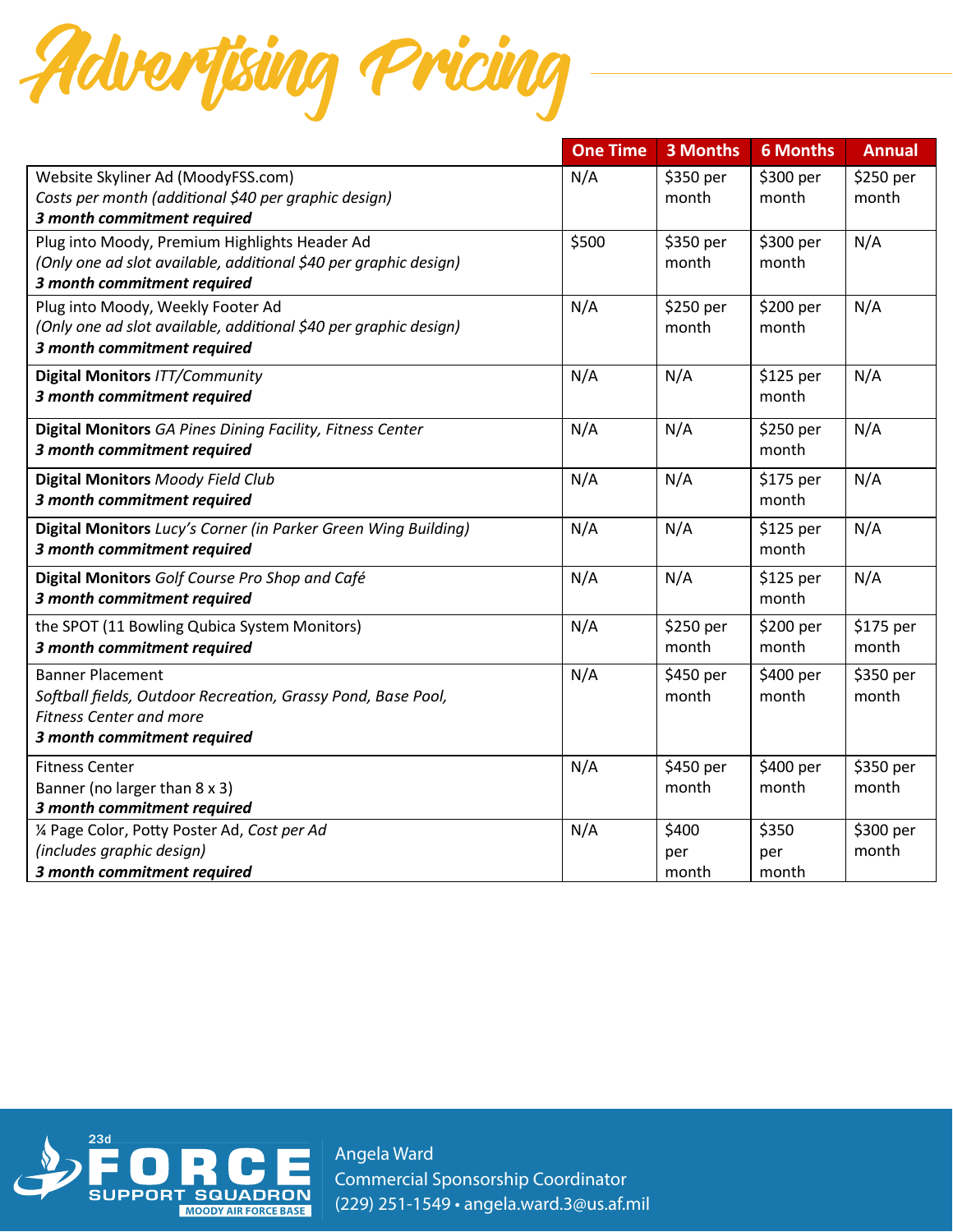

|                                                                  | <b>One Time</b> | 3 Months  | <b>6 Months</b> | <b>Annual</b> |
|------------------------------------------------------------------|-----------------|-----------|-----------------|---------------|
| Website Skyliner Ad (MoodyFSS.com)                               | N/A             | \$350 per | \$300 per       | \$250 per     |
| Costs per month (additional \$40 per graphic design)             |                 | month     | month           | month         |
| 3 month commitment required                                      |                 |           |                 |               |
| Plug into Moody, Premium Highlights Header Ad                    | \$500           | \$350 per | \$300 per       | N/A           |
| (Only one ad slot available, additional \$40 per graphic design) |                 | month     | month           |               |
| 3 month commitment required                                      |                 |           |                 |               |
| Plug into Moody, Weekly Footer Ad                                | N/A             | \$250 per | \$200 per       | N/A           |
| (Only one ad slot available, additional \$40 per graphic design) |                 | month     | month           |               |
| 3 month commitment required                                      |                 |           |                 |               |
| <b>Digital Monitors ITT/Community</b>                            | N/A             | N/A       | \$125 per       | N/A           |
| 3 month commitment required                                      |                 |           | month           |               |
| Digital Monitors GA Pines Dining Facility, Fitness Center        | N/A             | N/A       | \$250 per       | N/A           |
| 3 month commitment required                                      |                 |           | month           |               |
| <b>Digital Monitors Moody Field Club</b>                         | N/A             | N/A       | \$175 per       | N/A           |
| 3 month commitment required                                      |                 |           | month           |               |
| Digital Monitors Lucy's Corner (in Parker Green Wing Building)   | N/A             | N/A       | $$125$ per      | N/A           |
| 3 month commitment required                                      |                 |           | month           |               |
| Digital Monitors Golf Course Pro Shop and Café                   | N/A             | N/A       | $$125$ per      | N/A           |
| 3 month commitment required                                      |                 |           | month           |               |
| the SPOT (11 Bowling Qubica System Monitors)                     | N/A             | \$250 per | \$200 per       | \$175 per     |
| 3 month commitment required                                      |                 | month     | month           | month         |
| <b>Banner Placement</b>                                          | N/A             | \$450 per | \$400 per       | \$350 per     |
| Softball fields, Outdoor Recreation, Grassy Pond, Base Pool,     |                 | month     | month           | month         |
| <b>Fitness Center and more</b>                                   |                 |           |                 |               |
| 3 month commitment required                                      |                 |           |                 |               |
| <b>Fitness Center</b>                                            | N/A             | \$450 per | \$400 per       | \$350 per     |
| Banner (no larger than 8 x 3)                                    |                 | month     | month           | month         |
| 3 month commitment required                                      |                 |           |                 |               |
| 1/4 Page Color, Potty Poster Ad, Cost per Ad                     | N/A             | \$400     | \$350           | \$300 per     |
| (includes graphic design)                                        |                 | per       | per             | month         |
| 3 month commitment required                                      |                 | month     | month           |               |